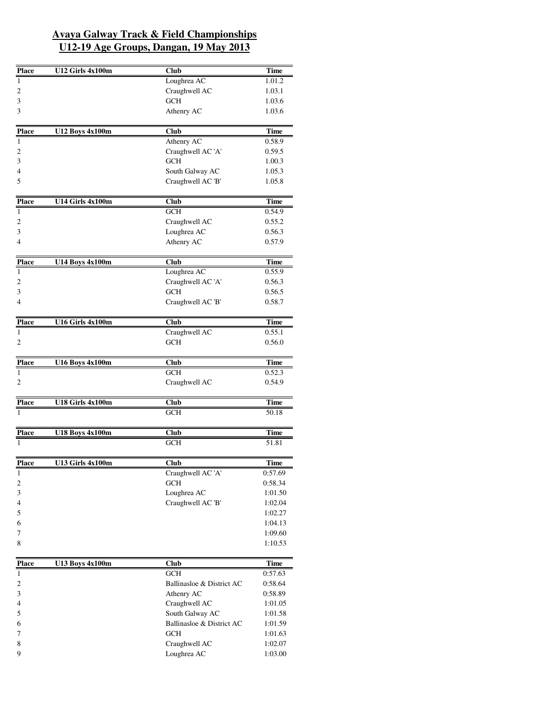| <b>Place</b>      | U12 Girls 4x100m       | <b>Club</b>                          | <b>Time</b>           |
|-------------------|------------------------|--------------------------------------|-----------------------|
| 1                 |                        | Loughrea AC                          | 1.01.2                |
| 2                 |                        | Craughwell AC                        | 1.03.1                |
| 3                 |                        | <b>GCH</b>                           | 1.03.6                |
| 3                 |                        | Athenry AC                           | 1.03.6                |
|                   |                        |                                      |                       |
| <b>Place</b><br>1 | <b>U12 Boys 4x100m</b> | <b>Club</b>                          | <b>Time</b><br>0.58.9 |
|                   |                        | Athenry AC                           |                       |
| 2                 |                        | Craughwell AC 'A'<br><b>GCH</b>      | 0.59.5                |
| 3                 |                        |                                      | 1.00.3                |
| 4                 |                        | South Galway AC<br>Craughwell AC 'B' | 1.05.3                |
| 5                 |                        |                                      | 1.05.8                |
| <b>Place</b>      | U14 Girls 4x100m       | Club                                 | <b>Time</b>           |
| $\mathbf{1}$      |                        | <b>GCH</b>                           | 0.54.9                |
| 2                 |                        | Craughwell AC                        | 0.55.2                |
| 3                 |                        | Loughrea AC                          | 0.56.3                |
| 4                 |                        | Athenry AC                           | 0.57.9                |
| <b>Place</b>      | <b>U14 Boys 4x100m</b> | <b>Club</b>                          | <b>Time</b>           |
| 1                 |                        | Loughrea AC                          | 0.55.9                |
| 2                 |                        | Craughwell AC 'A'                    | 0.56.3                |
| 3                 |                        | <b>GCH</b>                           | 0.56.5                |
| 4                 |                        | Craughwell AC 'B'                    | 0.58.7                |
|                   |                        |                                      |                       |
| <b>Place</b>      | U16 Girls 4x100m       | <b>Club</b>                          | <b>Time</b>           |
| $\mathbf{1}$      |                        | Craughwell AC                        | 0.55.1                |
| 2                 |                        | <b>GCH</b>                           | 0.56.0                |
| <b>Place</b>      | <b>U16 Boys 4x100m</b> | Club                                 | <b>Time</b>           |
| 1                 |                        | <b>GCH</b>                           | 0.52.3                |
| 2                 |                        | Craughwell AC                        | 0.54.9                |
| Place             | U18 Girls 4x100m       | Club                                 | <b>Time</b>           |
|                   |                        | <b>GCH</b>                           | 50.18                 |
|                   |                        |                                      |                       |
| Place<br>1        | <b>U18 Boys 4x100m</b> | Club<br><b>GCH</b>                   | Time<br>51.81         |
|                   |                        |                                      |                       |
| <b>Place</b>      | U13 Girls 4x100m       | <b>Club</b>                          | <b>Time</b>           |
| 1                 |                        | Craughwell AC 'A'                    | 0:57.69               |
| 2                 |                        | <b>GCH</b>                           | 0:58.34               |
| 3                 |                        | Loughrea AC                          | 1:01.50               |
| 4                 |                        | Craughwell AC 'B'                    | 1:02.04               |
| 5                 |                        |                                      | 1:02.27               |
| 6                 |                        |                                      | 1:04.13               |
| 7                 |                        |                                      | 1:09.60               |
| 8                 |                        |                                      | 1:10.53               |
| <b>Place</b>      | <b>U13 Boys 4x100m</b> | Club                                 | <b>Time</b>           |
| $\mathbf{1}$      |                        | <b>GCH</b>                           | 0:57.63               |
| 2                 |                        | Ballinasloe & District AC            | 0:58.64               |
| 3                 |                        | Athenry AC                           | 0:58.89               |
| 4                 |                        | Craughwell AC                        | 1:01.05               |
| 5                 |                        | South Galway AC                      | 1:01.58               |
| 6                 |                        | Ballinasloe & District AC            | 1:01.59               |
| 7                 |                        | <b>GCH</b>                           | 1:01.63               |

7 GCH 1:01.63 8 Craughwell AC 1:02.07 9 Loughrea AC 1:03.00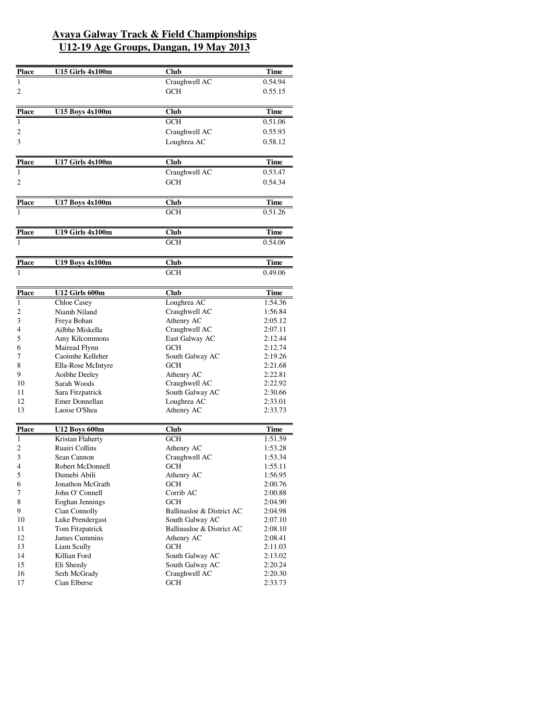| <b>Place</b> | <b>U15 Girls 4x100m</b> | <b>Club</b>               | <b>Time</b> |
|--------------|-------------------------|---------------------------|-------------|
| 1            |                         | Craughwell AC             | 0.54.94     |
| 2            |                         | <b>GCH</b>                | 0.55.15     |
|              |                         |                           |             |
| <b>Place</b> | <b>U15 Boys 4x100m</b>  | Club                      | <b>Time</b> |
| 1            |                         | <b>GCH</b>                | 0.51.06     |
| 2            |                         | Craughwell AC             | 0.55.93     |
| 3            |                         | Loughrea AC               | 0.58.12     |
|              |                         |                           |             |
| Place        | U17 Girls 4x100m        | <b>Club</b>               | Time        |
| 1            |                         | Craughwell AC             | 0.53.47     |
| 2            |                         | <b>GCH</b>                | 0.54.34     |
|              |                         |                           |             |
| <b>Place</b> | <b>U17 Boys 4x100m</b>  | Club                      | Time        |
| 1            |                         | <b>GCH</b>                | 0.51.26     |
|              |                         |                           |             |
| <b>Place</b> | U19 Girls 4x100m        | Club                      | Time        |
| 1            |                         | <b>GCH</b>                | 0.54.06     |
|              |                         |                           |             |
| <b>Place</b> | <b>U19 Boys 4x100m</b>  | Club                      | Time        |
|              |                         | <b>GCH</b>                | 0.49.06     |
|              |                         |                           |             |
| <b>Place</b> | U12 Girls 600m          | <b>Club</b>               | Time        |
| 1            | <b>Chloe Casey</b>      | Loughrea AC               | 1:54.36     |
| 2            | Niamh Niland            | Craughwell AC             | 1:56.84     |
| 3            | Freya Bohan             | Athenry AC                | 2:05.12     |
| 4            | Ailbhe Miskella         | Craughwell AC             | 2:07.11     |
| 5            | Amy Kilcommons          | East Galway AC            | 2:12.44     |
| 6            | Mairead Flynn           | <b>GCH</b>                | 2:12.74     |
| 7            | Caoimhe Kelleher        | South Galway AC           | 2:19.26     |
| 8            | Ella-Rose McIntyre      | <b>GCH</b>                | 2:21.68     |
| 9            | Aoibhe Deeley           | Athenry AC                | 2:22.81     |
| 10           | Sarah Woods             | Craughwell AC             | 2:22.92     |
| 11           | Sara Fitzpatrick        | South Galway AC           | 2:30.66     |
| 12           | Emer Donnellan          | Loughrea AC               | 2:33.01     |
| 13           | Laoise O'Shea           | Athenry AC                | 2:33.73     |
| <b>Place</b> | <b>U12 Boys 600m</b>    | Club                      | <b>Time</b> |
| 1            | Kristan Flaherty        | <b>GCH</b>                | 1:51.59     |
| 2            | Ruairi Collins          | Athenry AC                | 1:53.28     |
| 3            | Sean Cannon             | Craughwell AC             | 1:53.34     |
| 4            | Robert McDonnell        | <b>GCH</b>                | 1:55.11     |
| 5            | Dumebi Abili            | Athenry AC                | 1:56.95     |
| 6            | Jonathon McGrath        | <b>GCH</b>                | 2:00.76     |
| 7            | John O' Connell         | Corrib AC                 | 2:00.88     |
| 8            | Eoghan Jennings         | <b>GCH</b>                | 2:04.90     |
| 9            | Cian Connolly           | Ballinasloe & District AC | 2:04.98     |
| 10           | Luke Prendergast        | South Galway AC           | 2:07.10     |
| 11           | Tom Fitzpatrick         | Ballinasloe & District AC | 2:08.10     |
| 12           | James Cummins           | Athenry AC                | 2:08.41     |
| 13           | Liam Scully             | <b>GCH</b>                | 2:11.03     |
| 14           | Killian Ford            | South Galway AC           | 2:13.02     |
| 15           | Eli Sheedy              | South Galway AC           | 2:20.24     |
| 16           | Serh McGrady            | Craughwell AC             | 2:20.30     |
| 17           | Cian Elberse            | <b>GCH</b>                | 2:33.73     |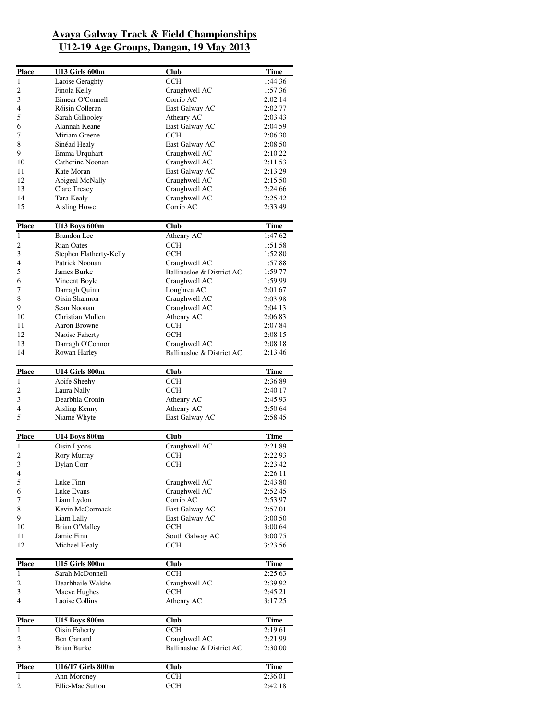| <b>Place</b>             | U13 Girls 600m          | <b>Club</b>               | Time        |
|--------------------------|-------------------------|---------------------------|-------------|
| $\mathbf{1}$             | Laoise Geraghty         | GCH                       | 1:44.36     |
| 2                        | Finola Kelly            | Craughwell AC             | 1:57.36     |
| 3                        | Eimear O'Connell        | Corrib AC                 | 2:02.14     |
| 4                        | Róisin Colleran         | East Galway AC            | 2:02.77     |
| 5                        | Sarah Gilhooley         | Athenry AC                | 2:03.43     |
| 6                        | Alannah Keane           | East Galway AC            | 2:04.59     |
| 7                        | Miriam Greene           | GCH                       | 2:06.30     |
| 8                        | Sinéad Healy            | East Galway AC            | 2:08.50     |
|                          |                         |                           |             |
| 9                        | Emma Urquhart           | Craughwell AC             | 2:10.22     |
| 10                       | Catherine Noonan        | Craughwell AC             | 2:11.53     |
| 11                       | Kate Moran              | East Galway AC            | 2:13.29     |
| 12                       | Abigeal McNally         | Craughwell AC             | 2:15.50     |
| 13                       | Clare Treacy            | Craughwell AC             | 2:24.66     |
| 14                       | Tara Kealy              | Craughwell AC             | 2:25.42     |
| 15                       | Aisling Howe            | Corrib AC                 | 2:33.49     |
| <b>Place</b>             | <b>U13 Boys 600m</b>    | <b>Club</b>               | Time        |
| $\mathbf{1}$             | <b>Brandon</b> Lee      | Athenry AC                | 1:47.62     |
| 2                        | Rian Oates              | GCH                       | 1:51.58     |
| 3                        | Stephen Flatherty-Kelly | GCH                       | 1:52.80     |
|                          | Patrick Noonan          | Craughwell AC             |             |
| 4                        |                         |                           | 1:57.88     |
| 5                        | James Burke             | Ballinasloe & District AC | 1:59.77     |
| 6                        | Vincent Boyle           | Craughwell AC             | 1:59.99     |
| 7                        | Darragh Quinn           | Loughrea AC               | 2:01.67     |
| 8                        | Oisin Shannon           | Craughwell AC             | 2:03.98     |
| 9                        | Sean Noonan             | Craughwell AC             | 2:04.13     |
| 10                       | Christian Mullen        | Athenry AC                | 2:06.83     |
| 11                       | Aaron Browne            | GCH                       | 2:07.84     |
| 12                       | Naoise Faherty          | <b>GCH</b>                | 2:08.15     |
| 13                       | Darragh O'Connor        | Craughwell AC             | 2:08.18     |
| 14                       | Rowan Harley            | Ballinasloe & District AC | 2:13.46     |
| <b>Place</b>             | U14 Girls 800m          | <b>Club</b>               | Time        |
| $\mathbf{1}$             |                         |                           |             |
|                          | Aoife Sheehy            | GCH                       | 2:36.89     |
| 2                        | Laura Nally             | GCH                       | 2:40.17     |
| 3                        | Dearbhla Cronin         | Athenry AC                | 2:45.93     |
| 4                        | Aisling Kenny           | Athenry AC                | 2:50.64     |
| 5                        | Niame Whyte             | East Galway AC            | 2:58.45     |
| <b>Place</b>             | <b>U14 Boys 800m</b>    | <b>Club</b>               | <b>Time</b> |
| $\mathbf{1}$             | Oisin Lyons             | Craughwell AC             | 2:21.89     |
| 2                        | Rory Murray             | <b>GCH</b>                | 2:22.93     |
| 3                        | Dylan Corr              | GCH                       | 2:23.42     |
| $\overline{\mathcal{A}}$ |                         |                           | 2:26.11     |
|                          | Luke Finn               | Craughwell AC             |             |
| 5                        | Luke Evans              |                           | 2:43.80     |
| 6                        |                         | Craughwell AC             | 2:52.45     |
| 7                        | Liam Lydon              | Corrib AC                 | 2:53.97     |
| 8                        | Kevin McCormack         | East Galway AC            | 2:57.01     |
| 9                        | Liam Lally              | East Galway AC            | 3:00.50     |
| 10                       | <b>Brian O'Malley</b>   | <b>GCH</b>                | 3:00.64     |
| 11                       | Jamie Finn              | South Galway AC           | 3:00.75     |
| 12                       | Michael Healy           | GCH                       | 3:23.56     |
| <b>Place</b>             | U15 Girls 800m          | Club                      | Time        |
| 1                        | Sarah McDonnell         | GCH                       | 2:25.63     |
| $\sqrt{2}$               | Dearbhaile Walshe       | Craughwell AC             | 2:39.92     |
| 3                        | Maeve Hughes            | GCH                       | 2:45.21     |
|                          |                         |                           |             |
| 4                        | Laoise Collins          | Athenry AC                | 3:17.25     |
| <b>Place</b>             | <b>U15 Boys 800m</b>    | Club                      | Time        |
| $\mathbf{1}$             | Oisin Faherty           | <b>GCH</b>                | 2:19.61     |
| 2                        | <b>Ben Garrard</b>      | Craughwell AC             | 2:21.99     |
| 3                        | Brian Burke             | Ballinasloe & District AC | 2:30.00     |
|                          |                         |                           |             |
| <b>Place</b>             | U16/17 Girls 800m       | Club                      | <b>Time</b> |
| 1                        | Ann Moroney             | <b>GCH</b>                | 2:36.01     |
| $\overline{c}$           | Ellie-Mae Sutton        | <b>GCH</b>                | 2:42.18     |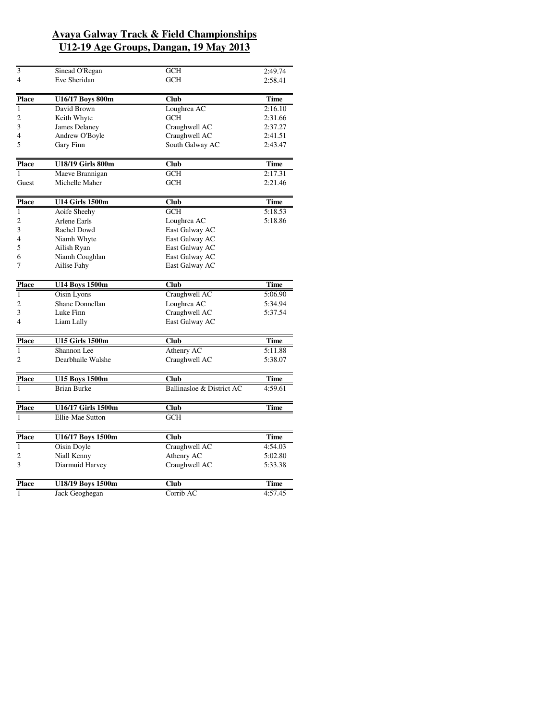| 3              | Sinead O'Regan         | GCH                       | 2:49.74     |
|----------------|------------------------|---------------------------|-------------|
| $\overline{4}$ | Eve Sheridan           | <b>GCH</b>                | 2:58.41     |
|                |                        |                           |             |
| <b>Place</b>   | U16/17 Boys 800m       | Club                      | Time        |
| $\mathbf{1}$   | David Brown            | Loughrea AC               | 2:16.10     |
| 2              | Keith Whyte            | GCH                       | 2:31.66     |
| 3              | <b>James Delaney</b>   | Craughwell AC             | 2:37.27     |
| 4              | Andrew O'Boyle         | Craughwell AC             | 2:41.51     |
| 5              | Gary Finn              | South Galway AC           | 2:43.47     |
|                |                        |                           |             |
| <b>Place</b>   | U18/19 Girls 800m      | Club                      | Time        |
| 1              | Maeve Brannigan        | GCH                       | 2:17.31     |
| Guest          | Michelle Maher         | <b>GCH</b>                | 2:21.46     |
|                |                        |                           |             |
| <b>Place</b>   | <b>U14 Girls 1500m</b> | <b>Club</b>               | <b>Time</b> |
| $\mathbf{1}$   | Aoife Sheehy           | <b>GCH</b>                | 5:18.53     |
| 2              | Arlene Earls           | Loughrea AC               | 5:18.86     |
| 3              | Rachel Dowd            | East Galway AC            |             |
| 4              | Niamh Whyte            | East Galway AC            |             |
| 5              | Ailish Ryan            | East Galway AC            |             |
| 6              | Niamh Coughlan         | East Galway AC            |             |
| 7              | Ailíse Fahy            | East Galway AC            |             |
| <b>Place</b>   | <b>U14 Boys 1500m</b>  | Club                      | <b>Time</b> |
| $\mathbf{1}$   | <b>Oisin Lyons</b>     | Craughwell AC             | 5:06.90     |
| 2              | Shane Donnellan        | Loughrea AC               | 5:34.94     |
| 3              | Luke Finn              | Craughwell AC             | 5:37.54     |
| 4              | Liam Lally             | East Galway AC            |             |
| <b>Place</b>   | <b>U15 Girls 1500m</b> | <b>Club</b>               | <b>Time</b> |
| $\mathbf{1}$   | Shannon Lee            | Athenry AC                | 5:11.88     |
| 2              | Dearbhaile Walshe      | Craughwell AC             | 5:38.07     |
|                |                        |                           |             |
| <b>Place</b>   | <b>U15 Boys 1500m</b>  | <b>Club</b>               | Time        |
| 1              | <b>Brian Burke</b>     | Ballinasloe & District AC | 4:59.61     |
| <b>Place</b>   | U16/17 Girls 1500m     | Club                      | <b>Time</b> |
| 1              | Ellie-Mae Sutton       | <b>GCH</b>                |             |
|                |                        |                           |             |
| <b>Place</b>   | U16/17 Boys 1500m      | <b>Club</b>               | <b>Time</b> |
| $\mathbf{1}$   | <b>Oisin Doyle</b>     | Craughwell AC             | 4:54.03     |
| 2              | Niall Kenny            | Athenry AC                | 5:02.80     |
| 3              | Diarmuid Harvey        | Craughwell AC             | 5:33.38     |
|                |                        |                           |             |
| <b>Place</b>   | U18/19 Boys 1500m      | Club                      | <b>Time</b> |
| 1              | Jack Geoghegan         | Corrib AC                 | 4:57.45     |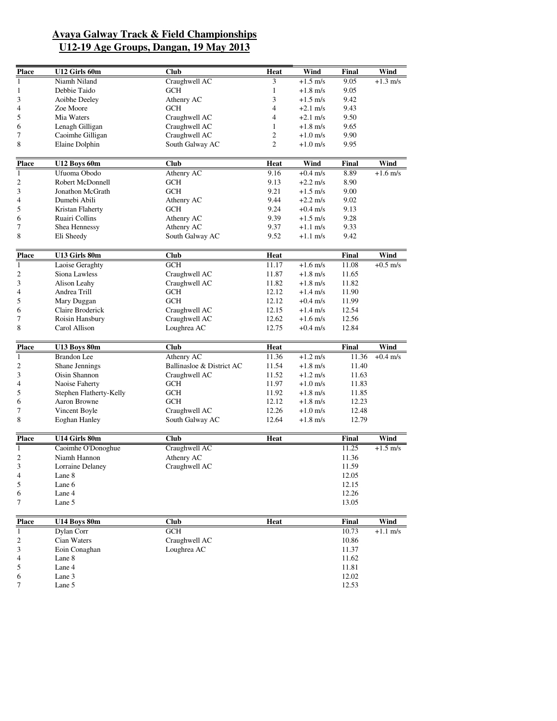| <b>Place</b> | U12 Girls 60m               | Club                          | Heat           | Wind                                     | Final        | Wind               |
|--------------|-----------------------------|-------------------------------|----------------|------------------------------------------|--------------|--------------------|
| $\mathbf{1}$ | Niamh Niland                | Craughwell AC                 | 3              | $+1.5$ m/s                               | 9.05         | $+1.3$ m/s         |
| 1            | Debbie Taido                | <b>GCH</b>                    | $\mathbf{1}$   | $+1.8$ m/s                               | 9.05         |                    |
| 3            | Aoibhe Deeley               | Athenry AC                    | 3              | $+1.5$ m/s                               | 9.42         |                    |
| 4            | Zoe Moore                   | <b>GCH</b>                    | 4              | $+2.1 \text{ m/s}$                       | 9.43         |                    |
| 5            | Mia Waters                  | Craughwell AC                 | 4              | $+2.1$ m/s                               | 9.50         |                    |
| 6            | Lenagh Gilligan             | Craughwell AC                 | 1              | $+1.8$ m/s                               | 9.65         |                    |
| 7            | Caoimhe Gilligan            | Craughwell AC                 | 2              | $+1.0$ m/s                               | 9.90         |                    |
| 8            | Elaine Dolphin              | South Galway AC               | $\overline{2}$ | $+1.0$ m/s                               | 9.95         |                    |
| <b>Place</b> | U12 Boys 60m                | <b>Club</b>                   | <b>Heat</b>    | Wind                                     | Final        | Wind               |
| $\mathbf{1}$ | Ufuoma Obodo                | Athenry AC                    | 9.16           | $+0.4$ m/s                               | 8.89         | $+1.6$ m/s         |
| 2            | Robert McDonnell            | GCH                           | 9.13           | $+2.2$ m/s                               | 8.90         |                    |
| 3            | Jonathon McGrath            | <b>GCH</b>                    | 9.21           | $+1.5$ m/s                               | 9.00         |                    |
| 4            | Dumebi Abili                | Athenry AC                    | 9.44           | $+2.2$ m/s                               | 9.02         |                    |
| 5            | Kristan Flaherty            | <b>GCH</b>                    | 9.24           | $+0.4$ m/s                               | 9.13         |                    |
|              | Ruairi Collins              | Athenry AC                    | 9.39           | $+1.5$ m/s                               | 9.28         |                    |
| 6            |                             |                               |                |                                          |              |                    |
| 7<br>8       | Shea Hennessy<br>Eli Sheedy | Athenry AC<br>South Galway AC | 9.37<br>9.52   | $+1.1 \text{ m/s}$<br>$+1.1 \text{ m/s}$ | 9.33<br>9.42 |                    |
|              |                             |                               |                |                                          |              |                    |
| <b>Place</b> | U13 Girls 80m               | <b>Club</b>                   | Heat           |                                          | Final        | Wind               |
| $\mathbf{1}$ | Laoise Geraghty             | GCH                           | 11.17          | $+1.6$ m/s                               | 11.08        | $+0.5$ m/s         |
| 2            | Siona Lawless               | Craughwell AC                 | 11.87          | $+1.8$ m/s                               | 11.65        |                    |
| 3            | Alison Leahy                | Craughwell AC                 | 11.82          | $+1.8$ m/s                               | 11.82        |                    |
| 4            | Andrea Trill                | <b>GCH</b>                    | 12.12          | $+1.4 \text{ m/s}$                       | 11.90        |                    |
| 5            | Mary Duggan                 | <b>GCH</b>                    | 12.12          | $+0.4$ m/s                               | 11.99        |                    |
| 6            | Claire Broderick            | Craughwell AC                 | 12.15          | $+1.4 \text{ m/s}$                       | 12.54        |                    |
| 7            | Roisin Hansbury             | Craughwell AC                 | 12.62          | $+1.6$ m/s                               | 12.56        |                    |
| 8            | Carol Allison               | Loughrea AC                   | 12.75          | $+0.4$ m/s                               | 12.84        |                    |
| <b>Place</b> | U13 Boys 80m                | <b>Club</b>                   | Heat           |                                          | Final        | Wind               |
| $\mathbf{1}$ | <b>Brandon</b> Lee          | Athenry AC                    | 11.36          | $+1.2$ m/s                               | 11.36        | $+0.4$ m/s         |
| 2            | Shane Jennings              | Ballinasloe & District AC     | 11.54          | $+1.8$ m/s                               | 11.40        |                    |
| 3            | Oisin Shannon               | Craughwell AC                 | 11.52          | $+1.2 \text{ m/s}$                       | 11.63        |                    |
| 4            | Naoise Faherty              | GCH                           | 11.97          | $+1.0$ m/s                               | 11.83        |                    |
| 5            | Stephen Flatherty-Kelly     | <b>GCH</b>                    | 11.92          | $+1.8$ m/s                               | 11.85        |                    |
| 6            | Aaron Browne                | <b>GCH</b>                    | 12.12          | $+1.8$ m/s                               | 12.23        |                    |
| 7            | Vincent Boyle               | Craughwell AC                 | 12.26          | $+1.0$ m/s                               | 12.48        |                    |
| 8            | <b>Eoghan Hanley</b>        | South Galway AC               | 12.64          | $+1.8$ m/s                               | 12.79        |                    |
|              |                             |                               |                |                                          |              |                    |
| <b>Place</b> | U14 Girls 80m               | <b>Club</b>                   | Heat           |                                          | Final        | Wind               |
| 1            | Caoimhe O'Donoghue          | Craughwell AC                 |                |                                          | 11.25        | $+1.5$ m/s         |
| 2            | Niamh Hannon                | Athenry AC                    |                |                                          | 11.36        |                    |
| 3            | Lorraine Delaney            | Craughwell AC                 |                |                                          | 11.59        |                    |
| 4            | Lane 8                      |                               |                |                                          | 12.05        |                    |
| 5            | Lane 6                      |                               |                |                                          | 12.15        |                    |
| 6            | Lane 4                      |                               |                |                                          | 12.26        |                    |
| 7            | Lane 5                      |                               |                |                                          | 13.05        |                    |
| <b>Place</b> | <b>U14 Boys 80m</b>         | <b>Club</b>                   | <b>Heat</b>    |                                          | Final        | Wind               |
| $\mathbf{1}$ | Dylan Corr                  | <b>GCH</b>                    |                |                                          | 10.73        | $+1.1 \text{ m/s}$ |
| 2            | Cian Waters                 | Craughwell AC                 |                |                                          | 10.86        |                    |
| 3            | Eoin Conaghan               | Loughrea AC                   |                |                                          | 11.37        |                    |
| 4            | Lane 8                      |                               |                |                                          | 11.62        |                    |
| 5            | Lane 4                      |                               |                |                                          | 11.81        |                    |
| 6            | Lane 3                      |                               |                |                                          | 12.02        |                    |
|              |                             |                               |                |                                          |              |                    |

 $7 \qquad \qquad$  Lane 5 12.53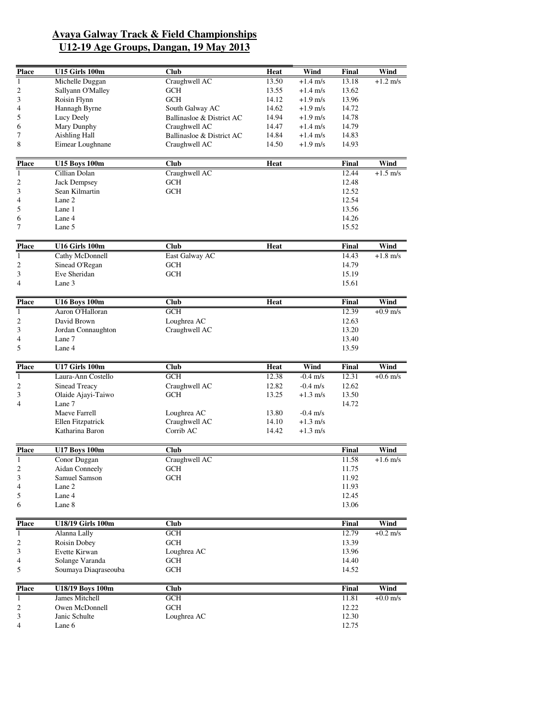| <b>Place</b>     | U15 Girls 100m           | Club                       | Heat        | Wind               | Final          | Wind       |
|------------------|--------------------------|----------------------------|-------------|--------------------|----------------|------------|
| $\mathbf{1}$     | Michelle Duggan          | Craughwell AC              | 13.50       | $+1.4$ m/s         | 13.18          | $+1.2$ m/s |
| $\boldsymbol{2}$ | Sallyann O'Malley        | GCH                        | 13.55       | $+1.4 \text{ m/s}$ | 13.62          |            |
| 3                | Roisin Flynn             | <b>GCH</b>                 | 14.12       | $+1.9$ m/s         | 13.96          |            |
| 4                | Hannagh Byrne            | South Galway AC            | 14.62       | $+1.9$ m/s         | 14.72          |            |
| 5                | Lucy Deely               | Ballinasloe & District AC  | 14.94       | $+1.9$ m/s         | 14.78          |            |
| 6                | Mary Dunphy              | Craughwell AC              | 14.47       | $+1.4$ m/s         | 14.79          |            |
| 7                | <b>Aishling Hall</b>     | Ballinasloe & District AC  | 14.84       | $+1.4 \text{ m/s}$ | 14.83          |            |
| 8                | Eimear Loughnane         | Craughwell AC              | 14.50       | $+1.9$ m/s         | 14.93          |            |
| <b>Place</b>     | <b>U15 Boys 100m</b>     | <b>Club</b>                | Heat        |                    | Final          | Wind       |
| 1                | Cillian Dolan            | Craughwell AC              |             |                    | 12.44          | $+1.5$ m/s |
| $\boldsymbol{2}$ | <b>Jack Dempsey</b>      | <b>GCH</b>                 |             |                    | 12.48          |            |
| 3                | Sean Kilmartin           | <b>GCH</b>                 |             |                    | 12.52          |            |
| 4                | Lane 2                   |                            |             |                    | 12.54          |            |
| 5                | Lane 1                   |                            |             |                    | 13.56          |            |
| 6                | Lane 4                   |                            |             |                    | 14.26          |            |
| 7                | Lane 5                   |                            |             |                    | 15.52          |            |
| <b>Place</b>     | U16 Girls 100m           | Club                       | <b>Heat</b> |                    | Final          | Wind       |
| $\mathbf{1}$     | Cathy McDonnell          | East Galway AC             |             |                    | 14.43          | $+1.8$ m/s |
| $\boldsymbol{2}$ | Sinead O'Regan           | <b>GCH</b>                 |             |                    | 14.79          |            |
| 3                | Eve Sheridan             | <b>GCH</b>                 |             |                    | 15.19          |            |
| 4                | Lane 3                   |                            |             |                    | 15.61          |            |
| <b>Place</b>     | <b>U16 Boys 100m</b>     | <b>Club</b>                | <b>Heat</b> |                    | Final          | Wind       |
| $\mathbf{1}$     | Aaron O'Halloran         | <b>GCH</b>                 |             |                    | 12.39          | $+0.9$ m/s |
| $\boldsymbol{2}$ | David Brown              | Loughrea AC                |             |                    | 12.63          |            |
| 3                | Jordan Connaughton       | Craughwell AC              |             |                    | 13.20          |            |
| 4                | Lane 7                   |                            |             |                    | 13.40          |            |
| 5                | Lane 4                   |                            |             |                    | 13.59          |            |
| <b>Place</b>     | <b>U17 Girls 100m</b>    | <b>Club</b>                | Heat        | Wind               | Final          | Wind       |
| $\overline{1}$   | Laura-Ann Costello       | <b>GCH</b>                 | 12.38       | $-0.4$ m/s         | 12.31          | $+0.6$ m/s |
| $\mathfrak{2}$   | Sinead Treacy            | Craughwell AC              | 12.82       | $-0.4$ m/s         | 12.62          |            |
| 3                | Olaide Ajayi-Taiwo       | <b>GCH</b>                 | 13.25       | $+1.3$ m/s         | 13.50          |            |
| $\overline{4}$   | Lane 7                   |                            |             |                    | 14.72          |            |
|                  | Maeve Farrell            | Loughrea AC                | 13.80       | $-0.4$ m/s         |                |            |
|                  | Ellen Fitzpatrick        | Craughwell AC<br>Corrib AC | 14.10       | $+1.3$ m/s         |                |            |
|                  | Katharina Baron          |                            | 14.42       | $+1.3$ m/s         |                |            |
| <b>Place</b>     | <b>U17 Boys 100m</b>     | Club                       |             |                    | Final          | Wind       |
| $\mathbf{1}$     | Conor Duggan             | Craughwell AC              |             |                    | 11.58          | $+1.6$ m/s |
| 2                | Aidan Conneely           | <b>GCH</b>                 |             |                    | 11.75          |            |
| $\mathfrak{Z}$   | Samuel Samson            | <b>GCH</b>                 |             |                    | 11.92          |            |
| 4                | Lane 2                   |                            |             |                    | 11.93          |            |
| 5                | Lane 4                   |                            |             |                    | 12.45<br>13.06 |            |
| 6                | Lane 8                   |                            |             |                    |                |            |
| <b>Place</b>     | <b>U18/19 Girls 100m</b> | Club                       |             |                    | Final          | Wind       |
| $\mathbf{1}$     | Alanna Lally             | GCH                        |             |                    | 12.79          | $+0.2$ m/s |
| $\overline{c}$   | Roisin Dobey             | <b>GCH</b>                 |             |                    | 13.39          |            |
| 3                | Evette Kirwan            | Loughrea AC                |             |                    | 13.96          |            |
| 4                | Solange Varanda          | <b>GCH</b>                 |             |                    | 14.40          |            |
| 5                | Soumaya Diagraseouba     | <b>GCH</b>                 |             |                    | 14.52          |            |
| <b>Place</b>     | <b>U18/19 Boys 100m</b>  | Club                       |             |                    | Final          | Wind       |
| $\mathbf{1}$     | James Mitchell           | GCH                        |             |                    | 11.81          | $+0.0$ m/s |
| $\overline{c}$   | Owen McDonnell           | <b>GCH</b>                 |             |                    | 12.22          |            |
| 3                | Janic Schulte            | Loughrea AC                |             |                    | 12.30          |            |
| 4                | Lane 6                   |                            |             |                    | 12.75          |            |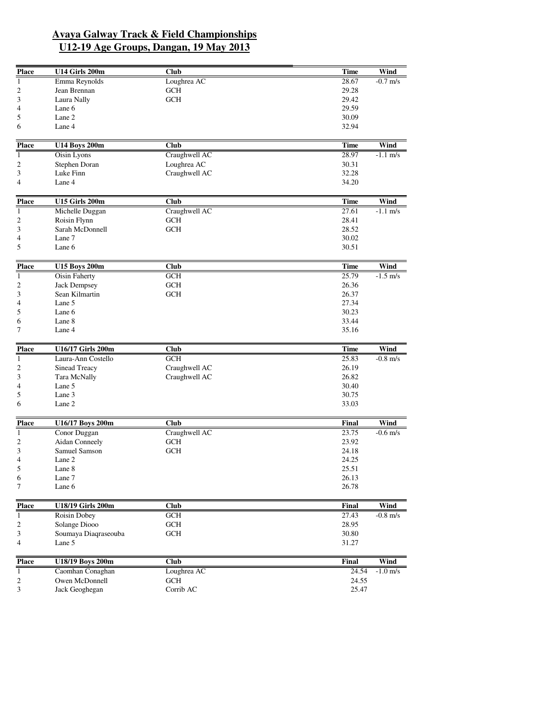| <b>Place</b>   | <b>U14 Girls 200m</b>          | <b>Club</b>       | Time           | Wind               |
|----------------|--------------------------------|-------------------|----------------|--------------------|
| $\mathbf{1}$   | Emma Reynolds                  | Loughrea AC       | 28.67          | $-0.7$ m/s         |
| 2              | Jean Brennan                   | <b>GCH</b>        | 29.28          |                    |
| 3              | Laura Nally                    | <b>GCH</b>        | 29.42          |                    |
| 4              | Lane 6                         |                   | 29.59          |                    |
| 5              | Lane 2                         |                   | 30.09          |                    |
| 6              | Lane 4                         |                   | 32.94          |                    |
| <b>Place</b>   | <b>U14 Boys 200m</b>           | <b>Club</b>       | <b>Time</b>    | <b>Wind</b>        |
| $\mathbf{1}$   | Oisin Lyons                    | Craughwell AC     | 28.97          | $-1.1$ m/s         |
| 2              | Stephen Doran                  | Loughrea AC       | 30.31          |                    |
| 3              | Luke Finn                      | Craughwell AC     | 32.28          |                    |
| 4              | Lane 4                         |                   | 34.20          |                    |
|                |                                |                   |                |                    |
| <b>Place</b>   | <b>U15 Girls 200m</b>          | Club              | <b>Time</b>    | Wind               |
| $\mathbf{1}$   | Michelle Duggan                | Craughwell AC     | 27.61          | $-1.1$ m/s         |
| 2              | Roisin Flynn                   | <b>GCH</b>        | 28.41          |                    |
| 3              | Sarah McDonnell                | <b>GCH</b>        | 28.52          |                    |
| 4              | Lane 7                         |                   | 30.02          |                    |
| 5              | Lane 6                         |                   | 30.51          |                    |
| <b>Place</b>   | <b>U15 Boys 200m</b>           | <b>Club</b>       | <b>Time</b>    | Wind               |
| $\mathbf{1}$   | <b>Oisin Faherty</b>           | <b>GCH</b>        | 25.79          | $-1.5$ m/s         |
| 2              | <b>Jack Dempsey</b>            | <b>GCH</b>        | 26.36          |                    |
| 3              | Sean Kilmartin                 | <b>GCH</b>        | 26.37          |                    |
| 4              | Lane 5                         |                   | 27.34          |                    |
| 5              | Lane 6                         |                   | 30.23          |                    |
| 6              | Lane 8                         |                   | 33.44          |                    |
| 7              | Lane 4                         |                   | 35.16          |                    |
| <b>Place</b>   | U16/17 Girls 200m              | <b>Club</b>       | <b>Time</b>    | Wind               |
| $\overline{1}$ | Laura-Ann Costello             | GCH               | 25.83          | $-0.8 \text{ m/s}$ |
| 2              | Sinead Treacy                  | Craughwell AC     | 26.19          |                    |
| 3              | Tara McNally                   | Craughwell AC     | 26.82          |                    |
| 4              | Lane 5                         |                   | 30.40          |                    |
| 5              | Lane 3                         |                   | 30.75          |                    |
| 6              | Lane 2                         |                   | 33.03          |                    |
| <b>Place</b>   | U16/17 Boys 200m               | <b>Club</b>       | Final          | Wind               |
| $\mathbf{1}$   |                                | Craughwell AC     | 23.75          |                    |
|                | Conor Duggan<br>Aidan Conneely |                   |                | $-0.6$ m/s         |
| 2              | Samuel Samson                  | GCH<br><b>GCH</b> | 23.92          |                    |
| 3<br>4         | Lane 2                         |                   | 24.18<br>24.25 |                    |
| 5              | Lane 8                         |                   | 25.51          |                    |
| 6              | Lane 7                         |                   | 26.13          |                    |
| $\tau$         | Lane 6                         |                   | 26.78          |                    |
|                |                                |                   |                |                    |
| <b>Place</b>   | <b>U18/19 Girls 200m</b>       | Club              | Final          | Wind               |
| $\mathbf{1}$   | Roisin Dobey                   | <b>GCH</b>        | 27.43          | $-0.8$ m/s         |
| 2              | Solange Diooo                  | <b>GCH</b>        | 28.95          |                    |
| 3              | Soumaya Diaqraseouba           | <b>GCH</b>        | 30.80          |                    |
| 4              | Lane 5                         |                   | 31.27          |                    |
| <b>Place</b>   | U18/19 Boys 200m               | Club              | Final          | Wind               |
| $\mathbf{1}$   | Caomhan Conaghan               | Loughrea AC       | 24.54          | $-1.0$ m/s         |
| 2              | Owen McDonnell                 | <b>GCH</b>        | 24.55          |                    |
| 3              | Jack Geoghegan                 | Corrib AC         | 25.47          |                    |
|                |                                |                   |                |                    |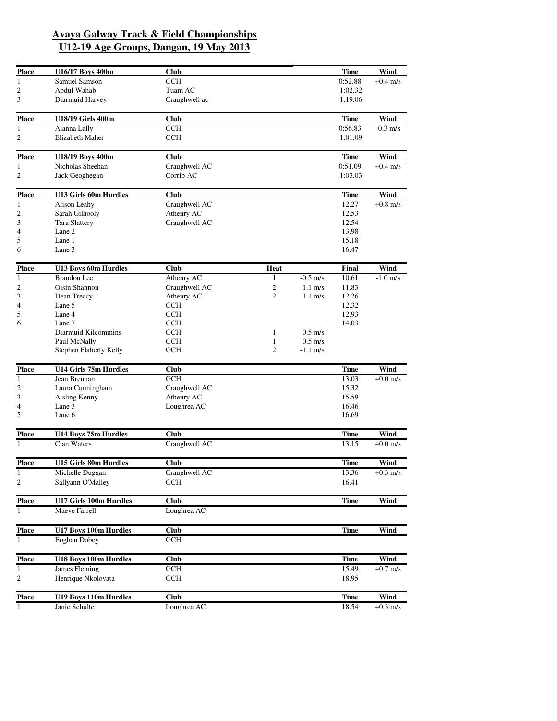| <b>Place</b>   | U16/17 Boys 400m              | Club                     |                |            | Time        | Wind       |
|----------------|-------------------------------|--------------------------|----------------|------------|-------------|------------|
| $\mathbf{1}$   | Samuel Samson                 | <b>GCH</b>               |                |            | 0:52.88     | $+0.4$ m/s |
| 2              | Abdul Wahab                   | Tuam AC                  |                |            | 1:02.32     |            |
| 3              | Diarmuid Harvey               | Craughwell ac            |                |            | 1:19.06     |            |
| <b>Place</b>   | <b>U18/19 Girls 400m</b>      | <b>Club</b>              |                |            | Time        | Wind       |
| 1              | Alanna Lally                  | <b>GCH</b>               |                |            | 0:56.83     | $-0.3$ m/s |
| $\overline{c}$ | Elizabeth Maher               | <b>GCH</b>               |                |            | 1:01.09     |            |
| <b>Place</b>   | <b>U18/19 Boys 400m</b>       | <b>Club</b>              |                |            | <b>Time</b> | Wind       |
| $\mathbf{1}$   | Nicholas Sheehan              | Craughwell AC            |                |            | 0:51.09     | $+0.4$ m/s |
| $\overline{c}$ | Jack Geoghegan                | Corrib AC                |                |            | 1:03.03     |            |
| <b>Place</b>   | <b>U13 Girls 60m Hurdles</b>  | <b>Club</b>              |                |            | Time        | Wind       |
| 1              | Alison Leahy                  | Craughwell AC            |                |            | 12.27       | $+0.8$ m/s |
| $\overline{c}$ | Sarah Gilhooly                | Athenry AC               |                |            | 12.53       |            |
| 3              | Tara Slattery                 | Craughwell AC            |                |            | 12.54       |            |
| 4              | Lane 2                        |                          |                |            | 13.98       |            |
| 5              | Lane 1                        |                          |                |            | 15.18       |            |
| 6              | Lane 3                        |                          |                |            | 16.47       |            |
| <b>Place</b>   | <b>U13 Boys 60m Hurdles</b>   | <b>Club</b>              | Heat           |            | Final       | Wind       |
| $\mathbf{1}$   | <b>Brandon</b> Lee            | Athenry AC               | 1              | $-0.5$ m/s | 10.61       | $-1.0$ m/s |
| $\overline{c}$ | Oisin Shannon                 | Craughwell AC            | $\overline{c}$ | $-1.1$ m/s | 11.83       |            |
| 3              | Dean Treacy                   | Athenry AC               | $\overline{2}$ | $-1.1$ m/s | 12.26       |            |
| 4              | Lane 5                        | <b>GCH</b>               |                |            | 12.32       |            |
| 5              | Lane 4                        | <b>GCH</b>               |                |            | 12.93       |            |
| 6              | Lane 7<br>Diarmuid Kilcommins | <b>GCH</b><br><b>GCH</b> | 1              | $-0.5$ m/s | 14.03       |            |
|                | Paul McNally                  | <b>GCH</b>               | $\mathbf{1}$   | $-0.5$ m/s |             |            |
|                | Stephen Flaherty Kelly        | <b>GCH</b>               | 2              | $-1.1$ m/s |             |            |
| <b>Place</b>   | U14 Girls 75m Hurdles         | Club                     |                |            | Time        | Wind       |
| $\mathbf{1}$   | Jean Brennan                  | <b>GCH</b>               |                |            | 13.03       | $+0.0$ m/s |
| 2              | Laura Cunningham              | Craughwell AC            |                |            | 15.32       |            |
| 3              | Aisling Kenny                 | Athenry AC               |                |            | 15.59       |            |
| 4              | Lane 3                        | Loughrea AC              |                |            | 16.46       |            |
| 5              | Lane 6                        |                          |                |            | 16.69       |            |
| <b>Place</b>   | U14 Boys 75m Hurdles          | <b>Club</b>              |                |            | Time        | Wind       |
| $\overline{1}$ | Cian Waters                   | Craughwell AC            |                |            | 13.15       | $+0.0$ m/s |
| <b>Place</b>   | U15 Girls 80m Hurdles         | <b>Club</b>              |                |            | Time        | Wind       |
| $\mathbf{1}$   | Michelle Duggan               | Craughwell AC            |                |            | 13.36       | $+0.3$ m/s |
| $\overline{c}$ | Sallyann O'Malley             | <b>GCH</b>               |                |            | 16.41       |            |
| <b>Place</b>   | U17 Girls 100m Hurdles        | <b>Club</b>              |                |            | <b>Time</b> | Wind       |
| 1              | Maeve Farrell                 | Loughrea AC              |                |            |             |            |
| <b>Place</b>   | <b>U17 Boys 100m Hurdles</b>  | <b>Club</b>              |                |            | <b>Time</b> | Wind       |
| 1              | Eoghan Dobey                  | <b>GCH</b>               |                |            |             |            |
| <b>Place</b>   | U18 Boys 100m Hurdles         | Club                     |                |            | <b>Time</b> | Wind       |
| $\mathbf{1}$   | James Fleming                 | <b>GCH</b>               |                |            | 15.49       | $+0.7$ m/s |
| $\mathfrak{2}$ | Henrique Nkolovata            | <b>GCH</b>               |                |            | 18.95       |            |
| <b>Place</b>   | <b>U19 Boys 110m Hurdles</b>  | Club                     |                |            | <b>Time</b> | Wind       |
|                | Janic Schulte                 | Loughrea AC              |                |            | 18.54       | $+0.3$ m/s |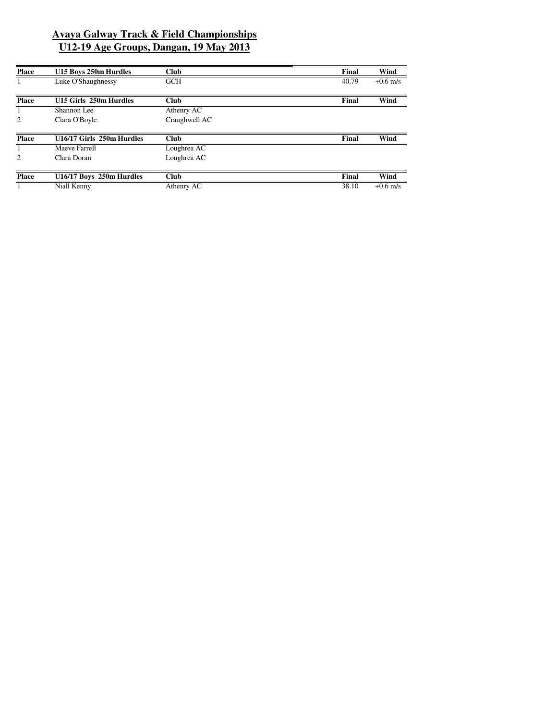| Final | Wind       |
|-------|------------|
| 40.79 | $+0.6$ m/s |
|       |            |
| Final | Wind       |
|       |            |
|       |            |
|       |            |
| Final | Wind       |
|       |            |
|       |            |
|       |            |
| Final | Wind       |
|       |            |
|       |            |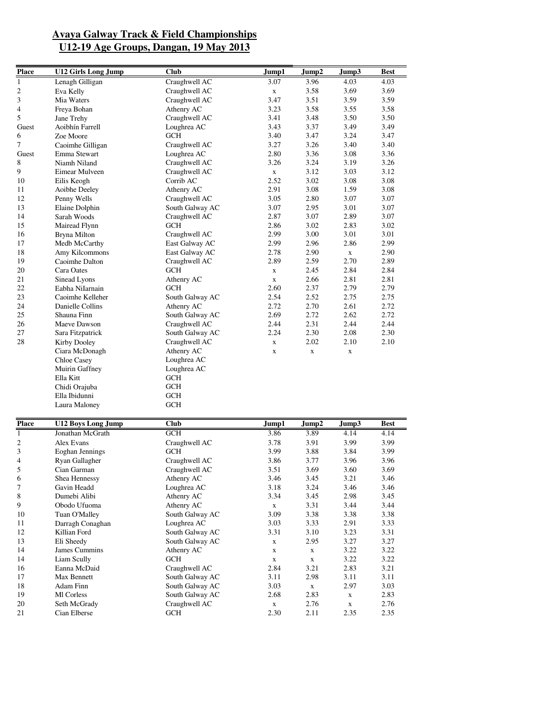| <b>Place</b>   | <b>U12 Girls Long Jump</b> | <b>Club</b>     | Jump1       | Jump2       | Jump3       | <b>Best</b> |
|----------------|----------------------------|-----------------|-------------|-------------|-------------|-------------|
| $\mathbf{1}$   | Lenagh Gilligan            | Craughwell AC   | 3.07        | 3.96        | 4.03        | 4.03        |
| 2              | Eva Kelly                  | Craughwell AC   | $\mathbf X$ | 3.58        | 3.69        | 3.69        |
| 3              | Mia Waters                 | Craughwell AC   | 3.47        | 3.51        | 3.59        | 3.59        |
| 4              | Freya Bohan                | Athenry AC      | 3.23        | 3.58        | 3.55        | 3.58        |
| 5              | Jane Trehy                 | Craughwell AC   | 3.41        | 3.48        | 3.50        | 3.50        |
| Guest          | Aoibhín Farrell            | Loughrea AC     | 3.43        | 3.37        | 3.49        | 3.49        |
| 6              | Zoe Moore                  | <b>GCH</b>      | 3.40        | 3.47        | 3.24        | 3.47        |
| 7              | Caoimhe Gilligan           | Craughwell AC   | 3.27        | 3.26        | 3.40        | 3.40        |
| Guest          | Emma Stewart               | Loughrea AC     | 2.80        | 3.36        | 3.08        | 3.36        |
| 8              | Niamh Niland               | Craughwell AC   | 3.26        | 3.24        | 3.19        | 3.26        |
| 9              | Eimear Mulveen             | Craughwell AC   | X           | 3.12        | 3.03        | 3.12        |
| 10             | Eilis Keogh                | Corrib AC       | 2.52        | 3.02        | 3.08        | 3.08        |
| 11             | Aoibhe Deeley              | Athenry AC      | 2.91        | 3.08        | 1.59        | 3.08        |
| 12             | Penny Wells                | Craughwell AC   | 3.05        | 2.80        | 3.07        | 3.07        |
| 13             | Elaine Dolphin             | South Galway AC | 3.07        | 2.95        | 3.01        | 3.07        |
| 14             | Sarah Woods                | Craughwell AC   | 2.87        | 3.07        | 2.89        | 3.07        |
| 15             | Mairead Flynn              | <b>GCH</b>      | 2.86        | 3.02        | 2.83        | 3.02        |
| 16             | <b>Bryna Milton</b>        | Craughwell AC   | 2.99        | 3.00        | 3.01        | 3.01        |
| 17             | Medb McCarthy              | East Galway AC  | 2.99        | 2.96        | 2.86        | 2.99        |
| 18             | Amy Kilcommons             | East Galway AC  | 2.78        | 2.90        | $\mathbf X$ | 2.90        |
| 19             | Caoimhe Dalton             | Craughwell AC   | 2.89        | 2.59        | 2.70        | 2.89        |
| 20             | Cara Oates                 | <b>GCH</b>      | X           | 2.45        | 2.84        | 2.84        |
| 21             | Sinead Lyons               | Athenry AC      | $\mathbf X$ | 2.66        | 2.81        | 2.81        |
| 22             | Eabha NiIarnain            | <b>GCH</b>      | 2.60        | 2.37        | 2.79        | 2.79        |
| 23             | Caoimhe Kelleher           | South Galway AC | 2.54        | 2.52        | 2.75        | 2.75        |
| 24             | Danielle Collins           | Athenry AC      | 2.72        | 2.70        | 2.61        | 2.72        |
| 25             | Shauna Finn                | South Galway AC | 2.69        | 2.72        | 2.62        | 2.72        |
| 26             | Maeve Dawson               | Craughwell AC   | 2.44        | 2.31        | 2.44        | 2.44        |
| 27             | Sara Fitzpatrick           | South Galway AC | 2.24        | 2.30        | 2.08        | 2.30        |
| 28             | Kirby Dooley               | Craughwell AC   | X           | 2.02        | 2.10        | 2.10        |
|                | Ciara McDonagh             | Athenry AC      | $\mathbf X$ | $\mathbf X$ | X           |             |
|                | Chloe Casey                | Loughrea AC     |             |             |             |             |
|                | Muirin Gaffney             | Loughrea AC     |             |             |             |             |
|                | Ella Kitt                  | <b>GCH</b>      |             |             |             |             |
|                | Chidi Orajuba              | <b>GCH</b>      |             |             |             |             |
|                | Ella Ibidunni              | <b>GCH</b>      |             |             |             |             |
|                | Laura Maloney              | <b>GCH</b>      |             |             |             |             |
|                |                            |                 |             |             |             |             |
| <b>Place</b>   | <b>U12 Boys Long Jump</b>  | <b>Club</b>     | Jump1       | Jump2       | Jump3       | Best        |
| $\mathbf{1}$   | Jonathan McGrath           | <b>GCH</b>      | 3.86        | 3.89        | 4.14        | 4.14        |
| 2              | Alex Evans                 | Craughwell AC   | 3.78        | 3.91        | 3.99        | 3.99        |
| 3              | Eoghan Jennings            | <b>GCH</b>      | 3.99        | 3.88        | 3.84        | 3.99        |
| 4              | Ryan Gallagher             | Craughwell AC   | 3.86        | 3.77        | 3.96        | 3.96        |
| 5              | Cian Garman                | Craughwell AC   | 3.51        | 3.69        | 3.60        | 3.69        |
| 6              | Shea Hennessy              | Athenry AC      | 3.46        | 3.45        | 3.21        | 3.46        |
| $\overline{7}$ | Gavin Headd                | Loughrea AC     | 3.18        | 3.24        | 3.46        | 3.46        |
| 8              | Dumebi Alibi               | Athenry AC      | 3.34        | 3.45        | 2.98        | 3.45        |
| 9              | Obodo Ufuoma               | Athenry AC      | $\mathbf x$ | 3.31        | 3.44        | 3.44        |
| 10             | Tuan O'Malley              | South Galway AC | 3.09        | 3.38        | 3.38        | 3.38        |
| $11\,$         | Darragh Conaghan           | Loughrea AC     | 3.03        | 3.33        | 2.91        | 3.33        |
| 12             | Killian Ford               | South Galway AC | 3.31        | 3.10        | 3.23        | 3.31        |
| 13             | Eli Sheedy                 | South Galway AC | $\mathbf X$ | 2.95        | 3.27        | 3.27        |
| 14             | James Cummins              | Athenry AC      | X           | $\mathbf X$ | 3.22        | 3.22        |
| 14             | Liam Scully                | <b>GCH</b>      | $\mathbf X$ | $\mathbf x$ | 3.22        | 3.22        |
| 16             | Eanna McDaid               | Craughwell AC   | 2.84        | 3.21        | 2.83        | 3.21        |
| 17             | Max Bennett                | South Galway AC | 3.11        | 2.98        | 3.11        | 3.11        |
| 18             | <b>Adam Finn</b>           | South Galway AC | 3.03        | $\mathbf X$ | 2.97        | 3.03        |
| 19             | Ml Corless                 | South Galway AC | 2.68        | 2.83        | X           | 2.83        |
| 20             | Seth McGrady               | Craughwell AC   | $\mathbf x$ | 2.76        | $\mathbf X$ | 2.76        |
| 21             | Cian Elberse               | GCH             | 2.30        | 2.11        | 2.35        | 2.35        |
|                |                            |                 |             |             |             |             |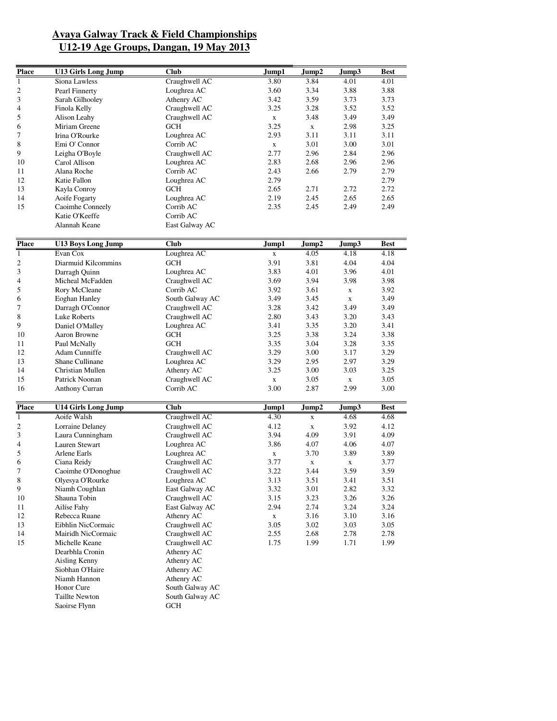| <b>Place</b>   | <b>U13 Girls Long Jump</b> | <b>Club</b>     | Jump1       | Jump2       | Jump3       | Best |
|----------------|----------------------------|-----------------|-------------|-------------|-------------|------|
| $\overline{1}$ | Siona Lawless              | Craughwell AC   | 3.80        | 3.84        | 4.01        | 4.01 |
| $\overline{c}$ | Pearl Finnerty             | Loughrea AC     | 3.60        | 3.34        | 3.88        | 3.88 |
| 3              | Sarah Gilhooley            | Athenry AC      | 3.42        | 3.59        | 3.73        | 3.73 |
| 4              | Finola Kelly               | Craughwell AC   | 3.25        | 3.28        | 3.52        | 3.52 |
| 5              | Alison Leahy               | Craughwell AC   | $\mathbf x$ | 3.48        | 3.49        | 3.49 |
| 6              | Miriam Greene              | <b>GCH</b>      | 3.25        | $\mathbf X$ | 2.98        | 3.25 |
| 7              | Irina O'Rourke             | Loughrea AC     | 2.93        | 3.11        | 3.11        | 3.11 |
| 8              | Emi O' Connor              | Corrib AC       | $\mathbf X$ | 3.01        | 3.00        | 3.01 |
| 9              | Leigha O'Boyle             | Craughwell AC   | 2.77        | 2.96        | 2.84        | 2.96 |
| 10             | Carol Allison              | Loughrea AC     | 2.83        | 2.68        | 2.96        | 2.96 |
| 11             | Alana Roche                | Corrib AC       | 2.43        | 2.66        | 2.79        | 2.79 |
| 12             | Katie Fallon               | Loughrea AC     | 2.79        |             |             | 2.79 |
| 13             |                            | <b>GCH</b>      | 2.65        | 2.71        | 2.72        | 2.72 |
|                | Kayla Conroy               |                 |             |             |             |      |
| 14             | Aoife Fogarty              | Loughrea AC     | 2.19        | 2.45        | 2.65        | 2.65 |
| 15             | Caoimhe Conneely           | Corrib AC       | 2.35        | 2.45        | 2.49        | 2.49 |
|                | Katie O'Keeffe             | Corrib AC       |             |             |             |      |
|                | Alannah Keane              | East Galway AC  |             |             |             |      |
| <b>Place</b>   | <b>U13 Boys Long Jump</b>  | <b>Club</b>     | Jump1       | Jump2       | Jump3       | Best |
| $\mathbf{1}$   | Evan Cox                   | Loughrea AC     | $\mathbf X$ | 4.05        | 4.18        | 4.18 |
| $\sqrt{2}$     | Diarmuid Kilcommins        | GCH             | 3.91        | 3.81        | 4.04        | 4.04 |
| 3              | Darragh Quinn              | Loughrea AC     | 3.83        | 4.01        | 3.96        | 4.01 |
| 4              | Micheal McFadden           | Craughwell AC   | 3.69        | 3.94        | 3.98        | 3.98 |
| 5              | Rory McCleane              | Corrib AC       | 3.92        | 3.61        |             | 3.92 |
|                | <b>Eoghan Hanley</b>       | South Galway AC | 3.49        | 3.45        | $\mathbf X$ | 3.49 |
| 6              |                            |                 |             |             | $\mathbf X$ |      |
| 7              | Darragh O'Connor           | Craughwell AC   | 3.28        | 3.42        | 3.49        | 3.49 |
| 8              | <b>Luke Roberts</b>        | Craughwell AC   | 2.80        | 3.43        | 3.20        | 3.43 |
| 9              | Daniel O'Malley            | Loughrea AC     | 3.41        | 3.35        | 3.20        | 3.41 |
| 10             | Aaron Browne               | <b>GCH</b>      | 3.25        | 3.38        | 3.24        | 3.38 |
| 11             | Paul McNally               | <b>GCH</b>      | 3.35        | 3.04        | 3.28        | 3.35 |
| 12             | Adam Cunniffe              | Craughwell AC   | 3.29        | 3.00        | 3.17        | 3.29 |
| 13             | Shane Cullinane            | Loughrea AC     | 3.29        | 2.95        | 2.97        | 3.29 |
| 14             | Christian Mullen           | Athenry AC      | 3.25        | 3.00        | 3.03        | 3.25 |
| 15             | Patrick Noonan             | Craughwell AC   | X           | 3.05        | $\mathbf X$ | 3.05 |
| 16             | Anthony Curran             | Corrib AC       | 3.00        | 2.87        | 2.99        | 3.00 |
| <b>Place</b>   | <b>U14 Girls Long Jump</b> | <b>Club</b>     | Jump1       | Jump2       | Jump3       | Best |
| $\overline{1}$ | Aoife Walsh                | Craughwell AC   | 4.30        | $\mathbf X$ | 4.68        | 4.68 |
| $\overline{c}$ | Lorraine Delaney           | Craughwell AC   | 4.12        | $\mathbf X$ | 3.92        | 4.12 |
| 3              | Laura Cunningham           | Craughwell AC   | 3.94        | 4.09        | 3.91        | 4.09 |
| 4              | Lauren Stewart             | Loughrea AC     | 3.86        | 4.07        | 4.06        | 4.07 |
| 5              | <b>Arlene Earls</b>        | Loughrea AC     | $\mathbf X$ | 3.70        | 3.89        | 3.89 |
| 6              | Ciana Reidy                | Craughwell AC   | 3.77        | $\mathbf X$ | $\mathbf X$ | 3.77 |
| 7              | Caoimhe O'Donoghue         | Craughwell AC   | 3.22        | 3.44        | 3.59        | 3.59 |
| $\,$ 8 $\,$    | Olyesya O'Rourke           | Loughrea AC     | 3.13        | 3.51        | 3.41        | 3.51 |
| 9              | Niamh Coughlan             | East Galway AC  | 3.32        | 3.01        | 2.82        | 3.32 |
| 10             | Shauna Tobin               | Craughwell AC   | 3.15        | 3.23        | 3.26        | 3.26 |
|                | Ailíse Fahy                | East Galway AC  |             |             | 3.24        |      |
| 11             |                            |                 | 2.94        | 2.74        |             | 3.24 |
| 12             | Rebecca Ruane              | Athenry AC      | $\mathbf X$ | 3.16        | 3.10        | 3.16 |
| 13             | Eibhlin NicCormaic         | Craughwell AC   | 3.05        | 3.02        | 3.03        | 3.05 |
| 14             | Mairidh NicCormaic         | Craughwell AC   | 2.55        | 2.68        | 2.78        | 2.78 |
| 15             | Michelle Keane             | Craughwell AC   | 1.75        | 1.99        | 1.71        | 1.99 |
|                | Dearbhla Cronin            | Athenry AC      |             |             |             |      |
|                | Aisling Kenny              | Athenry AC      |             |             |             |      |
|                | Siobhan O'Haire            | Athenry AC      |             |             |             |      |
|                | Niamh Hannon               | Athenry AC      |             |             |             |      |
|                | Honor Cure                 | South Galway AC |             |             |             |      |
|                | Taillte Newton             | South Galway AC |             |             |             |      |
|                | Saoirse Flynn              | $GCH$           |             |             |             |      |
|                |                            |                 |             |             |             |      |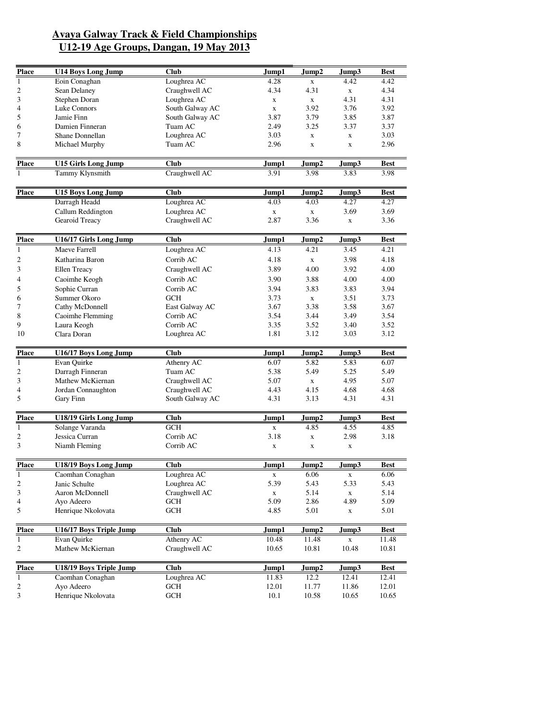| <b>Place</b>            | <b>U14 Boys Long Jump</b>              | <b>Club</b>                 | Jump1          | Jump2          | Jump3       | <b>Best</b>          |
|-------------------------|----------------------------------------|-----------------------------|----------------|----------------|-------------|----------------------|
| 1                       | Eoin Conaghan                          | Loughrea AC                 | 4.28           | X              | 4.42        | 4.42                 |
| $\overline{\mathbf{c}}$ | Sean Delaney                           | Craughwell AC               | 4.34           | 4.31           | $\mathbf X$ | 4.34                 |
| 3                       | Stephen Doran                          | Loughrea AC                 | X              | $\mathbf X$    | 4.31        | 4.31                 |
| 4                       | Luke Connors                           | South Galway AC             | $\mathbf X$    | 3.92           | 3.76        | 3.92                 |
| 5                       | Jamie Finn                             | South Galway AC             | 3.87           | 3.79           | 3.85        | 3.87                 |
| 6                       | Damien Finneran                        | Tuam AC                     | 2.49           | 3.25           | 3.37        | 3.37                 |
| 7                       | Shane Donnellan                        | Loughrea AC                 | 3.03           |                |             | 3.03                 |
|                         |                                        |                             |                | $\mathbf x$    | $\mathbf X$ |                      |
| 8                       | Michael Murphy                         | Tuam AC                     | 2.96           | $\mathbf X$    | $\mathbf X$ | 2.96                 |
| <b>Place</b>            | <b>U15 Girls Long Jump</b>             | <b>Club</b>                 | Jump1          | Jump2          | Jump3       | <b>Best</b>          |
| 1                       | Tammy Klynsmith                        | Craughwell AC               | 3.91           | 3.98           | 3.83        | 3.98                 |
| <b>Place</b>            | <b>U15 Boys Long Jump</b>              | <b>Club</b>                 | Jump1          | Jump2          | Jump3       | Best                 |
|                         | Darragh Headd                          | Loughrea AC                 | 4.03           | 4.03           | 4.27        | 4.27                 |
|                         | Callum Reddington                      | Loughrea AC                 | $\mathbf x$    | $\mathbf X$    | 3.69        | 3.69                 |
|                         | Gearoid Treacy                         | Craughwell AC               | 2.87           | 3.36           | $\mathbf x$ | 3.36                 |
|                         |                                        |                             |                |                |             |                      |
| <b>Place</b>            | U16/17 Girls Long Jump                 | <b>Club</b>                 | Jump1          | Jump2          | Jump3       | <b>Best</b>          |
| $\mathbf{1}$            | Maeve Farrell                          | Loughrea AC                 | 4.13           | 4.21           | 3.45        | 4.21                 |
| $\overline{c}$          | Katharina Baron                        | Corrib AC                   | 4.18           | $\mathbf x$    | 3.98        | 4.18                 |
| 3                       | Ellen Treacy                           | Craughwell AC               | 3.89           | 4.00           | 3.92        | 4.00                 |
| 4                       | Caoimhe Keogh                          | Corrib AC                   | 3.90           | 3.88           | 4.00        | 4.00                 |
| 5                       | Sophie Curran                          | Corrib AC                   | 3.94           | 3.83           | 3.83        | 3.94                 |
|                         | Summer Okoro                           | <b>GCH</b>                  | 3.73           |                | 3.51        | 3.73                 |
| 6                       |                                        |                             |                | X              |             |                      |
| 7                       | Cathy McDonnell                        | East Galway AC              | 3.67           | 3.38           | 3.58        | 3.67                 |
| 8                       | Caoimhe Flemming                       | Corrib AC                   | 3.54           | 3.44           | 3.49        | 3.54                 |
| 9                       | Laura Keogh                            | Corrib AC                   | 3.35           | 3.52           | 3.40        | 3.52                 |
| 10                      | Clara Doran                            | Loughrea AC                 | 1.81           | 3.12           | 3.03        | 3.12                 |
| <b>Place</b>            | U16/17 Boys Long Jump                  | <b>Club</b>                 | Jump1          | Jump2          | Jump3       | <b>Best</b>          |
| $\mathbf{1}$            | Evan Quirke                            | Athenry AC                  | 6.07           | 5.82           | 5.83        | 6.07                 |
| $\overline{\mathbf{c}}$ | Darragh Finneran                       | Tuam AC                     | 5.38           | 5.49           | 5.25        | 5.49                 |
| 3                       | Mathew McKiernan                       | Craughwell AC               | 5.07           | $\mathbf X$    | 4.95        | 5.07                 |
| 4                       | Jordan Connaughton                     | Craughwell AC               | 4.43           | 4.15           | 4.68        | 4.68                 |
| 5                       | Gary Finn                              | South Galway AC             | 4.31           | 3.13           | 4.31        | 4.31                 |
|                         | <b>U18/19 Girls Long Jump</b>          | <b>Club</b>                 |                | Jump2          |             |                      |
| <b>Place</b>            |                                        |                             | Jump1          |                | Jump3       | <b>Best</b>          |
| 1                       | Solange Varanda                        | <b>GCH</b>                  | X              | 4.85           | 4.55        | 4.85                 |
| 2                       | Jessica Curran                         | Corrib AC                   | 3.18           | $\mathbf X$    | 2.98        | 3.18                 |
| 3                       | Niamh Fleming                          | Corrib AC                   | X              | $\mathbf x$    | X           |                      |
| <b>Place</b>            | U18/19 Boys Long Jump                  | <b>Club</b>                 | Jump1          | Jump2          | Jump3       | <b>Best</b>          |
| $\mathbf{1}$            | Caomhan Conaghan                       | Loughrea AC                 | $\mathbf X$    | 6.06           | $\mathbf X$ | 6.06                 |
| $\sqrt{2}$              | Janic Schulte                          | Loughrea AC                 | 5.39           | 5.43           | 5.33        | 5.43                 |
| 3                       | Aaron McDonnell                        | Craughwell AC               | $\mathbf X$    | 5.14           | $\mathbf X$ | 5.14                 |
| 4                       | Ayo Adeero                             | GCH                         | 5.09           | 2.86           | 4.89        | 5.09                 |
| 5                       | Henrique Nkolovata                     | $\mathop{\rm GCH}\nolimits$ | 4.85           | 5.01           | X           | 5.01                 |
|                         |                                        |                             |                |                |             |                      |
| <b>Place</b>            | U16/17 Boys Triple Jump<br>Evan Quirke | <b>Club</b><br>Athenry AC   | Jump1<br>10.48 | Jump2<br>11.48 | Jump3       | <b>Best</b><br>11.48 |
| $\mathbf{1}$<br>2       | Mathew McKiernan                       | Craughwell AC               | 10.65          | 10.81          | X<br>10.48  | 10.81                |
|                         |                                        |                             |                |                |             |                      |
| <b>Place</b>            | U18/19 Boys Triple Jump                | <b>Club</b>                 | Jump1          | Jump2          | Jump3       | <b>Best</b>          |
| $\mathbf{1}$            | Caomhan Conaghan                       | Loughrea AC                 | 11.83          | 12.2           | 12.41       | 12.41                |
| $\overline{\mathbf{c}}$ | Ayo Adeero                             | GCH                         | 12.01          | 11.77          | 11.86       | 12.01                |
| $\overline{\mathbf{3}}$ | Henrique Nkolovata                     | $\mathop{\rm GCH}\nolimits$ | 10.1           | 10.58          | 10.65       | 10.65                |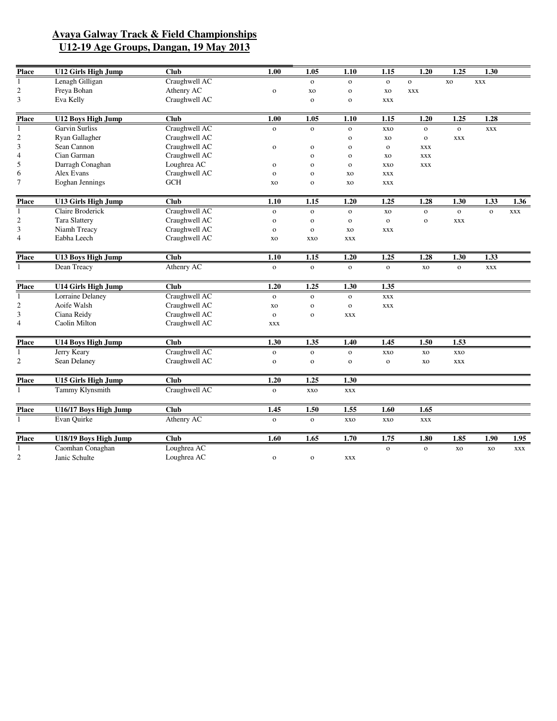| <b>Place</b>   | <b>U12 Girls High Jump</b> | Club                 | 1.00         | 1.05         | 1.10         | 1.15         | 1.20         | 1.25         | 1.30         |            |
|----------------|----------------------------|----------------------|--------------|--------------|--------------|--------------|--------------|--------------|--------------|------------|
| 1              | Lenagh Gilligan            | Craughwell AC        |              | $\mathbf{o}$ | $\mathbf{o}$ | $\mathbf{o}$ | $\mathbf O$  | xo           | <b>XXX</b>   |            |
| $\sqrt{2}$     | Freya Bohan                | Athenry AC           | $\mathbf{o}$ | XO           | $\mathbf O$  | XO           | <b>XXX</b>   |              |              |            |
| 3              | Eva Kelly                  | Craughwell AC        |              | $\mathbf{o}$ | $\mathbf{o}$ | <b>XXX</b>   |              |              |              |            |
| <b>Place</b>   | <b>U12 Boys High Jump</b>  | <b>Club</b>          | 1.00         | 1.05         | 1.10         | 1.15         | 1.20         | 1.25         | 1.28         |            |
| 1              | <b>Garvin Surliss</b>      | Craughwell AC        | $\mathbf{o}$ | $\mathbf{o}$ | $\mathbf{o}$ | <b>XXO</b>   | $\mathbf O$  | $\mathbf O$  | <b>XXX</b>   |            |
| $\sqrt{2}$     | Ryan Gallagher             | Craughwell AC        |              |              | $\mathbf 0$  | XO           | $\mathbf{o}$ | <b>XXX</b>   |              |            |
| 3              | Sean Cannon                | Craughwell AC        | $\rm{O}$     | $\mathbf{o}$ | $\mathbf{o}$ | $\mathbf{o}$ | <b>XXX</b>   |              |              |            |
| $\overline{4}$ | Cian Garman                | Craughwell AC        |              | $\mathbf{o}$ | $\mathbf{o}$ | XO           | <b>XXX</b>   |              |              |            |
| 5              | Darragh Conaghan           | Loughrea AC          | $\mathbf{o}$ | $\mathbf{o}$ | $\mathbf{o}$ | <b>XXO</b>   | <b>XXX</b>   |              |              |            |
| 6              | Alex Evans                 | Craughwell AC        | $\mathbf{o}$ | $\mathbf{o}$ | XO           | <b>XXX</b>   |              |              |              |            |
| $\tau$         | Eoghan Jennings            | $\operatorname{GCH}$ | <b>XO</b>    | $\mathbf{o}$ | XO           | <b>XXX</b>   |              |              |              |            |
| <b>Place</b>   | <b>U13 Girls High Jump</b> | Club                 | 1.10         | 1.15         | 1.20         | 1.25         | 1.28         | 1.30         | 1.33         | 1.36       |
| 1              | Claire Broderick           | Craughwell AC        | $\mathbf{o}$ | $\mathbf{O}$ | $\mathbf{O}$ | XO           | $\mathbf{o}$ | $\mathbf{o}$ | $\mathbf{o}$ | <b>XXX</b> |
| $\mathfrak{2}$ | <b>Tara Slattery</b>       | Craughwell AC        | $\mathbf{o}$ | $\mathbf 0$  | $\mathbf{o}$ | $\mathbf{o}$ | $\mathbf{o}$ | <b>XXX</b>   |              |            |
| 3              | Niamh Treacy               | Craughwell AC        | $\mathbf{o}$ | $\mathbf{o}$ | <b>XO</b>    | <b>XXX</b>   |              |              |              |            |
| 4              | Eabha Leech                | Craughwell AC        | XO           | <b>XXO</b>   | <b>XXX</b>   |              |              |              |              |            |
| <b>Place</b>   | <b>U13 Boys High Jump</b>  | Club                 | 1.10         | 1.15         | 1.20         | 1.25         | 1.28         | 1.30         | 1.33         |            |
| $\mathbf{1}$   | Dean Treacy                | Athenry AC           | $\mathbf{o}$ | $\mathbf{o}$ | $\mathbf{o}$ | $\mathbf{o}$ | XO           | $\mathbf{o}$ | <b>XXX</b>   |            |
| <b>Place</b>   | <b>U14 Girls High Jump</b> | <b>Club</b>          | 1.20         | 1.25         | 1.30         | 1.35         |              |              |              |            |
| $\mathbf{1}$   | Lorraine Delaney           | Craughwell AC        | $\mathbf{o}$ | $\mathbf{o}$ | $\mathbf{o}$ | <b>XXX</b>   |              |              |              |            |
| $\mathfrak{2}$ | Aoife Walsh                | Craughwell AC        | <b>XO</b>    | $\mathbf 0$  | $\mathbf{o}$ | <b>XXX</b>   |              |              |              |            |
| 3              | Ciana Reidy                | Craughwell AC        | $\mathbf{o}$ | $\mathbf{o}$ | <b>XXX</b>   |              |              |              |              |            |
| 4              | Caolin Milton              | Craughwell AC        | <b>XXX</b>   |              |              |              |              |              |              |            |
| <b>Place</b>   | <b>U14 Boys High Jump</b>  | <b>Club</b>          | 1.30         | 1.35         | 1.40         | 1.45         | 1.50         | 1.53         |              |            |
| -1             | Jerry Keary                | Craughwell AC        | $\mathbf 0$  | $\mathbf{o}$ | $\mathbf O$  | <b>XXO</b>   | xо           | xxo          |              |            |
| 2              | Sean Delaney               | Craughwell AC        | $\mathbf{o}$ | $\mathbf{o}$ | $\mathbf{o}$ | $\mathbf{o}$ | XO           | <b>XXX</b>   |              |            |
| <b>Place</b>   | <b>U15 Girls High Jump</b> | <b>Club</b>          | 1.20         | 1.25         | 1.30         |              |              |              |              |            |
| $\mathbf{1}$   | Tammy Klynsmith            | Craughwell AC        | $\mathbf{o}$ | <b>XXO</b>   | <b>XXX</b>   |              |              |              |              |            |
| <b>Place</b>   | U16/17 Boys High Jump      | <b>Club</b>          | 1.45         | 1.50         | 1.55         | 1.60         | 1.65         |              |              |            |
| 1              | Evan Quirke                | Athenry AC           | $\mathbf{o}$ | $\mathbf{o}$ | <b>XXO</b>   | xxo          | <b>XXX</b>   |              |              |            |
| Place          | U18/19 Boys High Jump      | <b>Club</b>          | 1.60         | 1.65         | 1.70         | 1.75         | 1.80         | 1.85         | 1.90         | 1.95       |
| 1              | Caomhan Conaghan           | Loughrea AC          |              |              |              | $\mathbf{o}$ | $\mathbf{o}$ | <b>XO</b>    | <b>XO</b>    | <b>XXX</b> |
| $\mathfrak{2}$ | Janic Schulte              | Loughrea AC          | $\mathbf O$  | $\mathbf{o}$ | <b>XXX</b>   |              |              |              |              |            |
|                |                            |                      |              |              |              |              |              |              |              |            |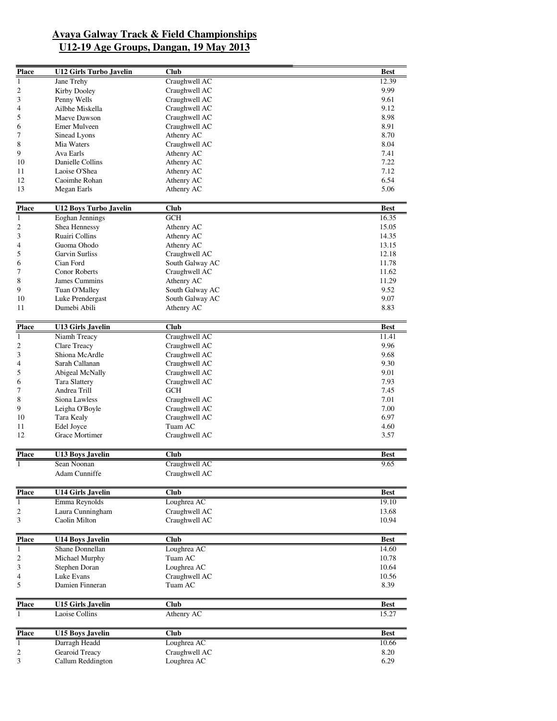| <b>Place</b>                 | <b>U12 Girls Turbo Javelin</b>    | <b>Club</b>                    | <b>Best</b>    |
|------------------------------|-----------------------------------|--------------------------------|----------------|
| $\mathbf{1}$                 | Jane Trehy                        | Craughwell AC                  | 12.39          |
| 2                            | Kirby Dooley                      | Craughwell AC                  | 9.99           |
| 3                            | Penny Wells                       | Craughwell AC                  | 9.61           |
| 4                            | Ailbhe Miskella                   | Craughwell AC                  | 9.12           |
| 5                            | Maeve Dawson                      | Craughwell AC                  | 8.98           |
| 6                            | Emer Mulveen                      | Craughwell AC                  | 8.91           |
| 7                            | Sinead Lyons                      | Athenry AC                     | 8.70           |
| 8                            | Mia Waters                        | Craughwell AC                  | 8.04           |
| 9                            | Ava Earls                         | Athenry AC                     | 7.41           |
| 10                           | Danielle Collins                  | Athenry AC                     | 7.22           |
| 11                           | Laoise O'Shea                     | Athenry AC                     | 7.12           |
| 12                           | Caoimhe Rohan                     | Athenry AC                     | 6.54           |
| 13                           | Megan Earls                       | Athenry AC                     | 5.06           |
| <b>Place</b>                 | <b>U12 Boys Turbo Javelin</b>     | <b>Club</b>                    | <b>Best</b>    |
| $\mathbf{1}$                 | <b>Eoghan Jennings</b>            | GCH                            | 16.35          |
| $\overline{c}$               | Shea Hennessy                     | Athenry AC                     | 15.05          |
| 3                            | Ruairi Collins                    | Athenry AC                     | 14.35          |
| 4                            | Guoma Ohodo                       | Athenry AC                     | 13.15          |
| 5                            | Garvin Surliss                    | Craughwell AC                  | 12.18          |
| 6                            | Cian Ford                         | South Galway AC                | 11.78          |
| 7                            | <b>Conor Roberts</b>              | Craughwell AC                  | 11.62          |
| 8                            | James Cummins                     | Athenry AC                     | 11.29          |
| 9                            | Tuan O'Malley                     | South Galway AC                | 9.52           |
| 10                           | Luke Prendergast                  | South Galway AC                | 9.07           |
| 11                           | Dumebi Abili                      | Athenry AC                     | 8.83           |
| <b>Place</b>                 | <b>U13 Girls Javelin</b>          | <b>Club</b>                    | Best           |
| $\mathbf{1}$                 | Niamh Treacy                      | Craughwell AC                  | 11.41          |
| $\boldsymbol{2}$             | Clare Treacy                      | Craughwell AC                  | 9.96           |
| 3                            | Shiona McArdle                    | Craughwell AC                  | 9.68           |
| 4                            | Sarah Callanan                    | Craughwell AC                  | 9.30           |
| 5                            | Abigeal McNally                   | Craughwell AC                  | 9.01           |
| 6                            | <b>Tara Slattery</b>              | Craughwell AC                  | 7.93           |
| 7                            | Andrea Trill                      | <b>GCH</b>                     | 7.45           |
| 8                            | Siona Lawless                     | Craughwell AC                  | 7.01           |
| 9                            | Leigha O'Boyle                    | Craughwell AC                  | 7.00           |
| 10                           | Tara Kealy                        | Craughwell AC                  | 6.97           |
| 11                           | Edel Joyce                        | Tuam AC                        | 4.60           |
| 12                           | Grace Mortimer                    | Craughwell AC                  | 3.57           |
| <b>Place</b>                 | <b>U13 Boys Javelin</b>           | Club                           | <b>Best</b>    |
| 1                            | Sean Noonan                       | Craughwell AC                  | 9.65           |
|                              | Adam Cunniffe                     | Craughwell AC                  |                |
|                              |                                   |                                |                |
| <b>Place</b>                 | <b>U14 Girls Javelin</b>          | Club                           | <b>Best</b>    |
| 1                            | Emma Reynolds                     | Loughrea AC                    | 19.10          |
| 2<br>3                       | Laura Cunningham<br>Caolin Milton | Craughwell AC<br>Craughwell AC | 13.68<br>10.94 |
|                              |                                   |                                |                |
| <b>Place</b>                 | <b>U14 Boys Javelin</b>           | <b>Club</b>                    | <b>Best</b>    |
| 1                            | Shane Donnellan                   | Loughrea AC                    | 14.60          |
| 2                            | Michael Murphy                    | Tuam AC                        | 10.78          |
| 3                            | Stephen Doran                     | Loughrea AC                    | 10.64          |
| 4                            | Luke Evans                        | Craughwell AC                  | 10.56          |
| 5                            | Damien Finneran                   | Tuam AC                        | 8.39           |
| <b>Place</b>                 | <b>U15 Girls Javelin</b>          | Club                           | <b>Best</b>    |
| $\mathbf{1}$                 | Laoise Collins                    | Athenry AC                     | 15.27          |
|                              |                                   |                                |                |
| <b>Place</b><br>$\mathbf{1}$ | <b>U15 Boys Javelin</b>           | Club                           | <b>Best</b>    |
|                              | Darragh Headd<br>Gearoid Treacy   | Loughrea AC<br>Craughwell AC   | 10.66          |
| 2<br>3                       |                                   |                                | 8.20           |
|                              | Callum Reddington                 | Loughrea AC                    | 6.29           |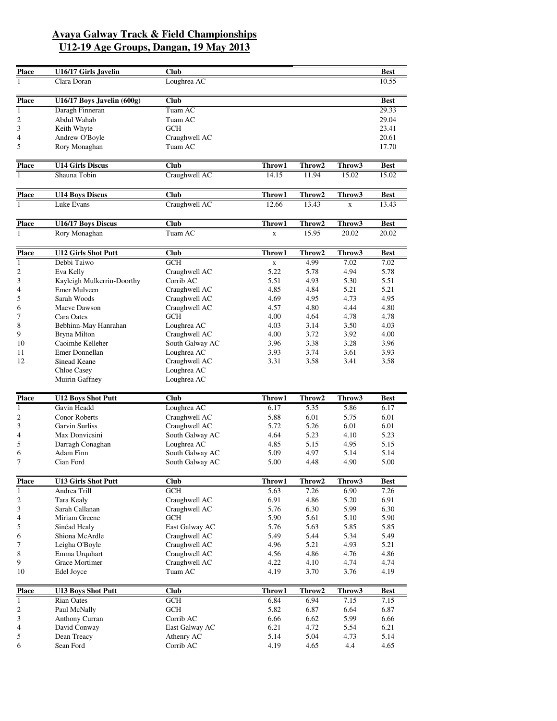| <b>Place</b>            | U16/17 Girls Javelin       | <b>Club</b>     |             |        |             | <b>Best</b> |
|-------------------------|----------------------------|-----------------|-------------|--------|-------------|-------------|
| $\overline{1}$          | Clara Doran                | Loughrea AC     |             |        |             | 10.55       |
| <b>Place</b>            | U16/17 Boys Javelin (600g) | <b>Club</b>     |             |        |             | <b>Best</b> |
| $\overline{1}$          | Daragh Finneran            | Tuam AC         |             |        |             | 29.33       |
| $\mathbf{2}$            | Abdul Wahab                | Tuam AC         |             |        |             | 29.04       |
| 3                       | Keith Whyte                | GCH             |             |        |             | 23.41       |
| 4                       | Andrew O'Boyle             |                 |             |        |             |             |
| 5                       |                            | Craughwell AC   |             |        |             | 20.61       |
|                         | Rory Monaghan              | Tuam AC         |             |        |             | 17.70       |
| <b>Place</b>            | <b>U14 Girls Discus</b>    | <b>Club</b>     | Throw1      | Throw2 | Throw3      | <b>Best</b> |
| $\overline{1}$          | Shauna Tobin               | Craughwell AC   | 14.15       | 11.94  | 15.02       | 15.02       |
| <b>Place</b>            | <b>U14 Boys Discus</b>     | <b>Club</b>     | Throw1      | Throw2 | Throw3      | <b>Best</b> |
| $\mathbf{1}$            | Luke Evans                 | Craughwell AC   | 12.66       | 13.43  | $\mathbf X$ | 13.43       |
| <b>Place</b>            | U16/17 Boys Discus         | <b>Club</b>     | Throw1      | Throw2 | Throw3      | <b>Best</b> |
| $\mathbf{1}$            | Rory Monaghan              | Tuam AC         | $\mathbf X$ | 15.95  | 20.02       | 20.02       |
|                         |                            |                 |             |        |             |             |
| <b>Place</b>            | <b>U12 Girls Shot Putt</b> | <b>Club</b>     | Throw1      | Throw2 | Throw3      | <b>Best</b> |
| $\mathbf{1}$            | Debbi Taiwo                | <b>GCH</b>      | $\mathbf x$ | 4.99   | 7.02        | 7.02        |
| $\overline{2}$          | Eva Kelly                  | Craughwell AC   | 5.22        | 5.78   | 4.94        | 5.78        |
|                         | Kayleigh Mulkerrin-Doorthy | Corrib AC       | 5.51        | 4.93   | 5.30        | 5.51        |
|                         | Emer Mulveen               | Craughwell AC   | 4.85        | 4.84   | 5.21        | 5.21        |
|                         | Sarah Woods                | Craughwell AC   | 4.69        | 4.95   | 4.73        | 4.95        |
|                         | Maeve Dawson               | Craughwell AC   | 4.57        | 4.80   | 4.44        | 4.80        |
|                         | Cara Oates                 | <b>GCH</b>      | 4.00        | 4.64   | 4.78        | 4.78        |
|                         | Bebhinn-May Hanrahan       | Loughrea AC     | 4.03        | 3.14   | 3.50        | 4.03        |
| 9                       | <b>Bryna Milton</b>        | Craughwell AC   | 4.00        | 3.72   | 3.92        | 4.00        |
| 10                      | Caoimhe Kelleher           | South Galway AC | 3.96        | 3.38   | 3.28        | 3.96        |
| 11                      | Emer Donnellan             | Loughrea AC     | 3.93        | 3.74   | 3.61        | 3.93        |
| 12                      | Sinead Keane               | Craughwell AC   | 3.31        | 3.58   | 3.41        | 3.58        |
|                         | Chloe Casey                | Loughrea AC     |             |        |             |             |
|                         | Muirin Gaffney             | Loughrea AC     |             |        |             |             |
|                         |                            |                 |             |        |             |             |
| <b>Place</b>            | <b>U12 Boys Shot Putt</b>  | <b>Club</b>     | Throw1      | Throw2 | Throw3      | <b>Best</b> |
|                         | Gavin Headd                | Loughrea AC     | 6.17        | 5.35   | 5.86        | 6.17        |
|                         | <b>Conor Roberts</b>       | Craughwell AC   | 5.88        | 6.01   | 5.75        | 6.01        |
|                         | <b>Garvin Surliss</b>      | Craughwell AC   | 5.72        | 5.26   | 6.01        | 6.01        |
| 4                       | Max Donvicsini             | South Galway AC | 4.64        | 5.23   | 4.10        | 5.23        |
| 5                       | Darragh Conaghan           | Loughrea AC     | 4.85        | 5.15   | 4.95        | 5.15        |
| 6                       | Adam Finn                  | South Galway AC | 5.09        | 4.97   | 5.14        | 5.14        |
| 7                       | Cian Ford                  | South Galway AC | 5.00        | 4.48   | 4.90        | 5.00        |
| <b>Place</b>            | <b>U13 Girls Shot Putt</b> | <b>Club</b>     | Throw1      | Throw2 | Throw3      | <b>Best</b> |
|                         | Andrea Trill               | <b>GCH</b>      | 5.63        | 7.26   | 6.90        | 7.26        |
|                         | Tara Kealy                 | Craughwell AC   | 6.91        | 4.86   | 5.20        | 6.91        |
| $\boldsymbol{2}$<br>3   | Sarah Callanan             | Craughwell AC   | 5.76        | 6.30   | 5.99        | 6.30        |
| 4                       | Miriam Greene              | <b>GCH</b>      | 5.90        | 5.61   | 5.10        | 5.90        |
| 5                       | Sinéad Healy               | East Galway AC  | 5.76        | 5.63   | 5.85        | 5.85        |
| 6                       | Shiona McArdle             | Craughwell AC   | 5.49        | 5.44   | 5.34        | 5.49        |
|                         | Leigha O'Boyle             | Craughwell AC   | 4.96        | 5.21   | 4.93        | 5.21        |
|                         | Emma Urquhart              | Craughwell AC   | 4.56        | 4.86   | 4.76        | 4.86        |
|                         |                            |                 |             |        |             |             |
| 9                       | Grace Mortimer             | Craughwell AC   | 4.22        | 4.10   | 4.74        | 4.74        |
| 10                      | Edel Joyce                 | Tuam AC         | 4.19        | 3.70   | 3.76        | 4.19        |
| <b>Place</b>            | <b>U13 Boys Shot Putt</b>  | <b>Club</b>     | Throw1      | Throw2 | Throw3      | Best        |
| $\mathbf{1}$            | <b>Rian Oates</b>          | GCH             | 6.84        | 6.94   | 7.15        | 7.15        |
| $\overline{\mathbf{c}}$ | Paul McNally               | <b>GCH</b>      | 5.82        | 6.87   | 6.64        | 6.87        |
| $\mathfrak{Z}$          | Anthony Curran             | Corrib AC       | 6.66        | 6.62   | 5.99        | 6.66        |
| 4                       | David Conway               | East Galway AC  | 6.21        | 4.72   | 5.54        | 6.21        |
| 5                       | Dean Treacy                | Athenry AC      | 5.14        | 5.04   | 4.73        | 5.14        |
| 6                       | Sean Ford                  | Corrib AC       | 4.19        | 4.65   | 4.4         | 4.65        |
|                         |                            |                 |             |        |             |             |